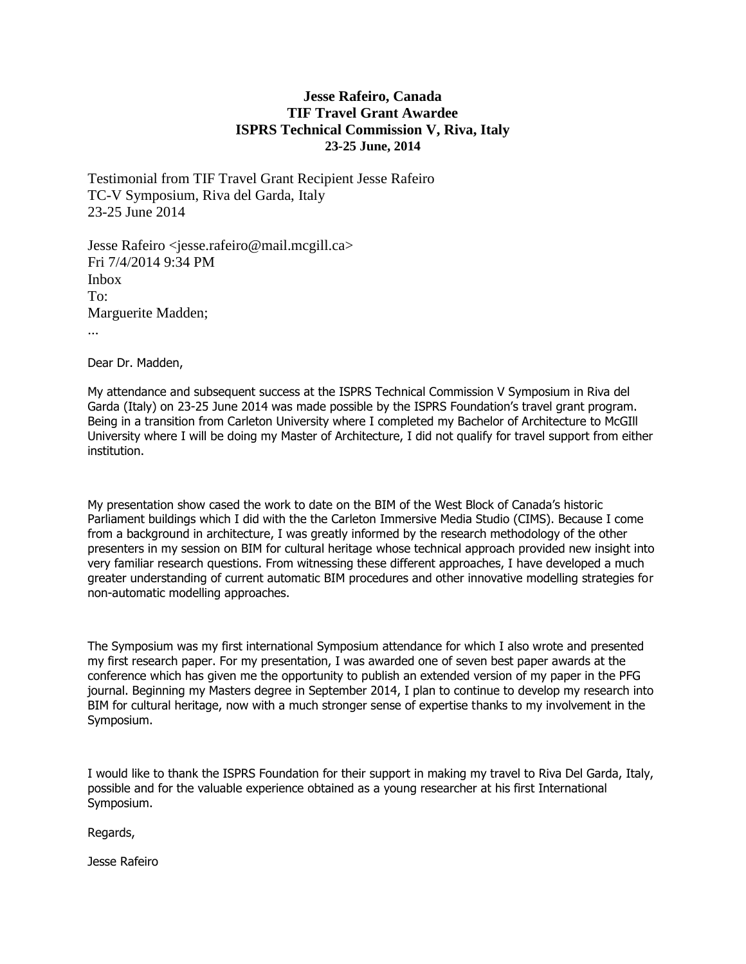## **Jesse Rafeiro, Canada TIF Travel Grant Awardee ISPRS Technical Commission V, Riva, Italy 23-25 June, 2014**

Testimonial from TIF Travel Grant Recipient Jesse Rafeiro TC-V Symposium, Riva del Garda, Italy 23-25 June 2014

Jesse Rafeiro <jesse.rafeiro@mail.mcgill.ca> Fri 7/4/2014 9:34 PM Inbox To: Marguerite Madden;

...

Dear Dr. Madden,

My attendance and subsequent success at the ISPRS Technical Commission V Symposium in Riva del Garda (Italy) on 23-25 June 2014 was made possible by the ISPRS Foundation's travel grant program. Being in a transition from Carleton University where I completed my Bachelor of Architecture to McGIll University where I will be doing my Master of Architecture, I did not qualify for travel support from either institution.

My presentation show cased the work to date on the BIM of the West Block of Canada's historic Parliament buildings which I did with the the Carleton Immersive Media Studio (CIMS). Because I come from a background in architecture, I was greatly informed by the research methodology of the other presenters in my session on BIM for cultural heritage whose technical approach provided new insight into very familiar research questions. From witnessing these different approaches, I have developed a much greater understanding of current automatic BIM procedures and other innovative modelling strategies for non-automatic modelling approaches.

The Symposium was my first international Symposium attendance for which I also wrote and presented my first research paper. For my presentation, I was awarded one of seven best paper awards at the conference which has given me the opportunity to publish an extended version of my paper in the PFG journal. Beginning my Masters degree in September 2014, I plan to continue to develop my research into BIM for cultural heritage, now with a much stronger sense of expertise thanks to my involvement in the Symposium.

I would like to thank the ISPRS Foundation for their support in making my travel to Riva Del Garda, Italy, possible and for the valuable experience obtained as a young researcher at his first International Symposium.

Regards,

Jesse Rafeiro